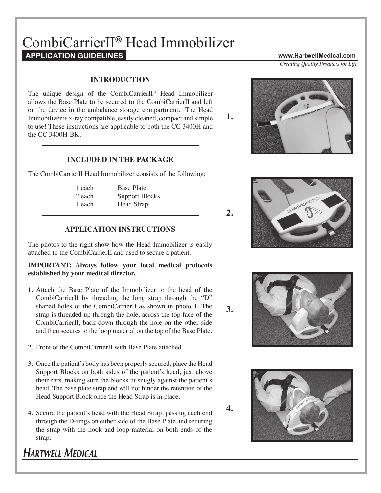# CombiCarrierII**®** Head Immobilizer**APPLICATION GUIDELINES www.HartwellMedical.com**

### **INTRODUCTION**

The unique design of the CombiCarrierII® Head Immobilizer allows the Base Plate to be secured to the CombiCarrierII and left on the device in the ambulance storage compartment. The Head Immobilizer is x-ray compatible, easily cleaned, compact and simple to use! These instructions are applicable to both the CC 3400H and the CC 3400H-BK.

### **INCLUDED IN THE PACKAGE**

The CombiCarrierII Head Immobilizer consists of the following:

| 1 each | <b>Base Plate</b>     |
|--------|-----------------------|
| 2 each | <b>Support Blocks</b> |
| 1 each | <b>Head Strap</b>     |

### **APPLICATION INSTRUCTIONS**

The photos to the right show how the Head Immobilizer is easily attached to the CombiCarrierII and used to secure a patient.

#### **IMPORTANT: Always follow your local medical protocols established by your medical director.**

- **1.** Attach the Base Plate of the Immobilizer to the head of the CombiCarrierII by threading the long strap through the "D" shaped holes of the CombiCarrierII as shown in photo 1. The strap is threaded up through the hole, across the top face of the CombiCarrierII, back down through the hole on the other side and then secures to the loop material on the top of the Base Plate.
- 2. Front of the CombiCarrierII with Base Plate attached.
- 3. Once the patient's body has been properly secured, place the Head Support Blocks on both sides of the patient's head, just above their ears, making sure the blocks fit snugly against the patient's head. The base plate strap end will not hinder the retention of the Head Support Block once the Head Strap is in place.
- 4. Secure the patient's head with the Head Strap, passing each end through the D-rings on either side of the Base Plate and securing the strap with the hook and loop material on both ends of the strap.

# **HARTWELL MEDICAL**

*Creating Quality Products for Life*









**2.**

**3.**

**4.**

**1.**